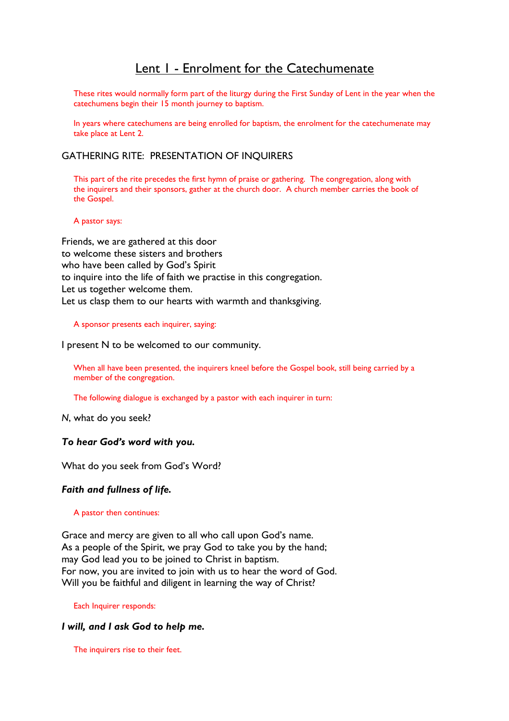# Lent I - Enrolment for the Catechumenate

These rites would normally form part of the liturgy during the First Sunday of Lent in the year when the catechumens begin their 15 month journey to baptism.

In years where catechumens are being enrolled for baptism, the enrolment for the catechumenate may take place at Lent 2.

# GATHERING RITE: PRESENTATION OF INQUIRERS

 This part of the rite precedes the first hymn of praise or gathering. The congregation, along with the inquirers and their sponsors, gather at the church door. A church member carries the book of the Gospel.

A pastor says:

Friends, we are gathered at this door to welcome these sisters and brothers who have been called by God's Spirit to inquire into the life of faith we practise in this congregation. Let us together welcome them. Let us clasp them to our hearts with warmth and thanksgiving.

#### A sponsor presents each inquirer, saying:

I present N to be welcomed to our community.

 When all have been presented, the inquirers kneel before the Gospel book, still being carried by a member of the congregation.

The following dialogue is exchanged by a pastor with each inquirer in turn:

N, what do you seek?

# To hear God's word with you.

What do you seek from God's Word?

#### Faith and fullness of life.

#### A pastor then continues:

Grace and mercy are given to all who call upon God's name. As a people of the Spirit, we pray God to take you by the hand; may God lead you to be joined to Christ in baptism. For now, you are invited to join with us to hear the word of God. Will you be faithful and diligent in learning the way of Christ?

Each Inquirer responds:

#### I will, and I ask God to help me.

The inquirers rise to their feet.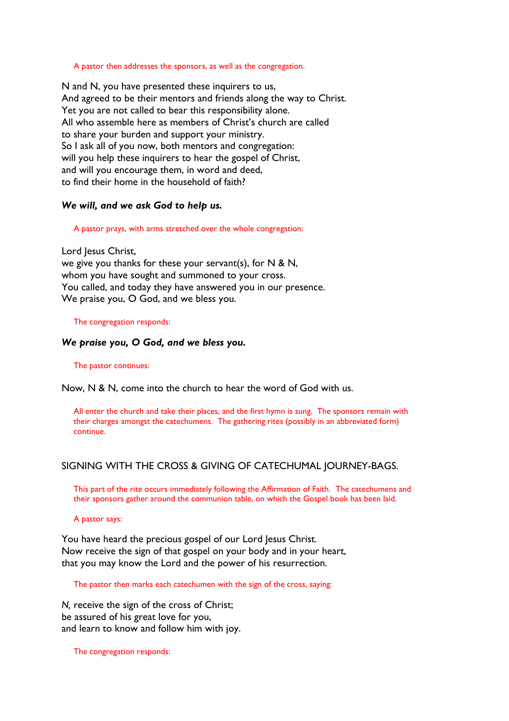#### A pastor then addresses the sponsors, as well as the congregation.

N and N, you have presented these inquirers to us, And agreed to be their mentors and friends along the way to Christ. Yet you are not called to bear this responsibility alone. All who assemble here as members of Christ's church are called to share your burden and support your ministry. So I ask all of you now, both mentors and congregation: will you help these inquirers to hear the gospel of Christ, and will you encourage them, in word and deed, to find their home in the household of faith?

#### We will, and we ask God to help us.

#### A pastor prays, with arms stretched over the whole congregation:

Lord Jesus Christ, we give you thanks for these your servant(s), for  $N$  &  $N$ , whom you have sought and summoned to your cross. You called, and today they have answered you in our presence. We praise you, O God, and we bless you.

#### The congregation responds:

#### We praise you, O God, and we bless you.

The pastor continues:

Now, N & N, come into the church to hear the word of God with us.

 All enter the church and take their places, and the first hymn is sung. The sponsors remain with their charges amongst the catechumens. The gathering rites (possibly in an abbreviated form) continue.

### SIGNING WITH THE CROSS & GIVING OF CATECHUMAL JOURNEY-BAGS.

 This part of the rite occurs immediately following the Affirmation of Faith. The catechumens and their sponsors gather around the communion table, on which the Gospel book has been laid.

A pastor says:

You have heard the precious gospel of our Lord Jesus Christ. Now receive the sign of that gospel on your body and in your heart, that you may know the Lord and the power of his resurrection.

The pastor then marks each catechumen with the sign of the cross, saying:

N, receive the sign of the cross of Christ; be assured of his great love for you, and learn to know and follow him with joy.

The congregation responds: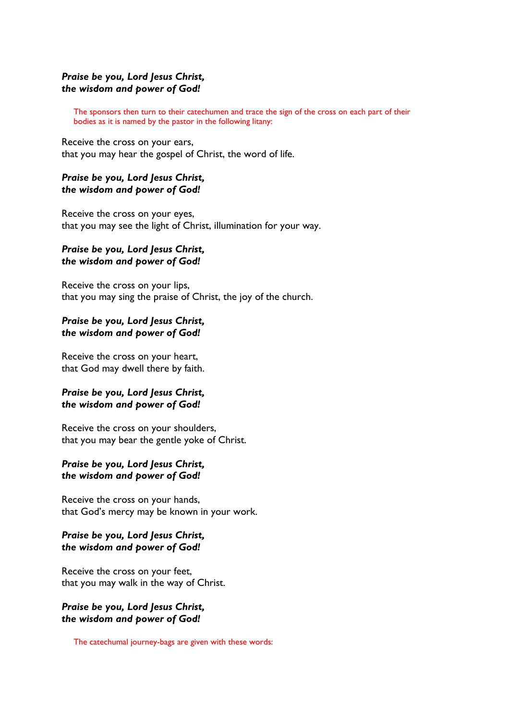# Praise be you, Lord Jesus Christ, the wisdom and power of God!

 The sponsors then turn to their catechumen and trace the sign of the cross on each part of their bodies as it is named by the pastor in the following litany:

Receive the cross on your ears, that you may hear the gospel of Christ, the word of life.

# Praise be you, Lord Jesus Christ, the wisdom and power of God!

Receive the cross on your eyes, that you may see the light of Christ, illumination for your way.

### Praise be you, Lord Jesus Christ, the wisdom and power of God!

Receive the cross on your lips, that you may sing the praise of Christ, the joy of the church.

# Praise be you, Lord Jesus Christ, the wisdom and power of God!

Receive the cross on your heart, that God may dwell there by faith.

# Praise be you, Lord Jesus Christ, the wisdom and power of God!

Receive the cross on your shoulders, that you may bear the gentle yoke of Christ.

# Praise be you, Lord Jesus Christ, the wisdom and power of God!

Receive the cross on your hands, that God's mercy may be known in your work.

# Praise be you, Lord Jesus Christ, the wisdom and power of God!

Receive the cross on your feet, that you may walk in the way of Christ.

# Praise be you, Lord Jesus Christ, the wisdom and power of God!

The catechumal journey-bags are given with these words: